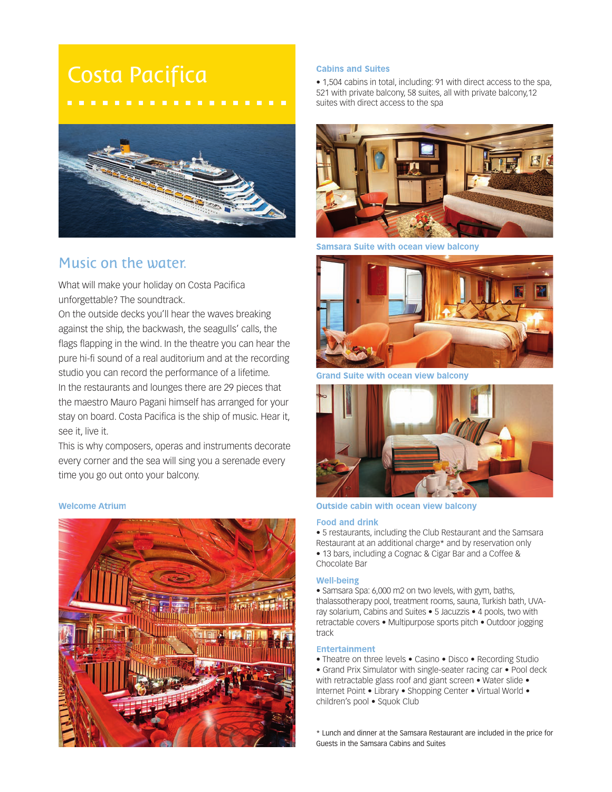# Costa Pacifica



## Music on the water.

What will make your holiday on Costa Pacifica unforgettable? The soundtrack.

On the outside decks you'll hear the waves breaking against the ship, the backwash, the seagulls' calls, the flags flapping in the wind. In the theatre you can hear the pure hi-fi sound of a real auditorium and at the recording studio you can record the performance of a lifetime. In the restaurants and lounges there are 29 pieces that the maestro Mauro Pagani himself has arranged for your stay on board. Costa Pacifica is the ship of music. Hear it, see it, live it.

This is why composers, operas and instruments decorate every corner and the sea will sing you a serenade every time you go out onto your balcony.

### **Welcome Atrium**



#### **Cabins and Suites**

• 1,504 cabins in total, including: 91 with direct access to the spa, 521 with private balcony, 58 suites, all with private balcony,12 suites with direct access to the spa



Samsara Suite with ocean view balcony



**Grand Suite with ocean view balcony** 



#### **Outside cabin with ocean view balcony**

#### **Food and drink**

• 5 restaurants, including the Club Restaurant and the Samsara Restaurant at an additional charge\* and by reservation only • 13 bars, including a Cognac & Cigar Bar and a Coffee & Chocolate Bar

#### **Well-being**

• Samsara Spa: 6,000 m2 on two levels, with gym, baths, thalassotherapy pool, treatment rooms, sauna, Turkish bath, UVAray solarium, Cabins and Suites • 5 Jacuzzis • 4 pools, two with retractable covers • Multipurpose sports pitch • Outdoor jogging track

#### **Entertainment**

• Theatre on three levels • Casino • Disco • Recording Studio • Grand Prix Simulator with single-seater racing car • Pool deck with retractable glass roof and giant screen • Water slide • Internet Point • Library • Shopping Center • Virtual World • children's pool • Squok Club

\* Lunch and dinner at the Samsara Restaurant are included in the price for Guests in the Samsara Cabins and Suites